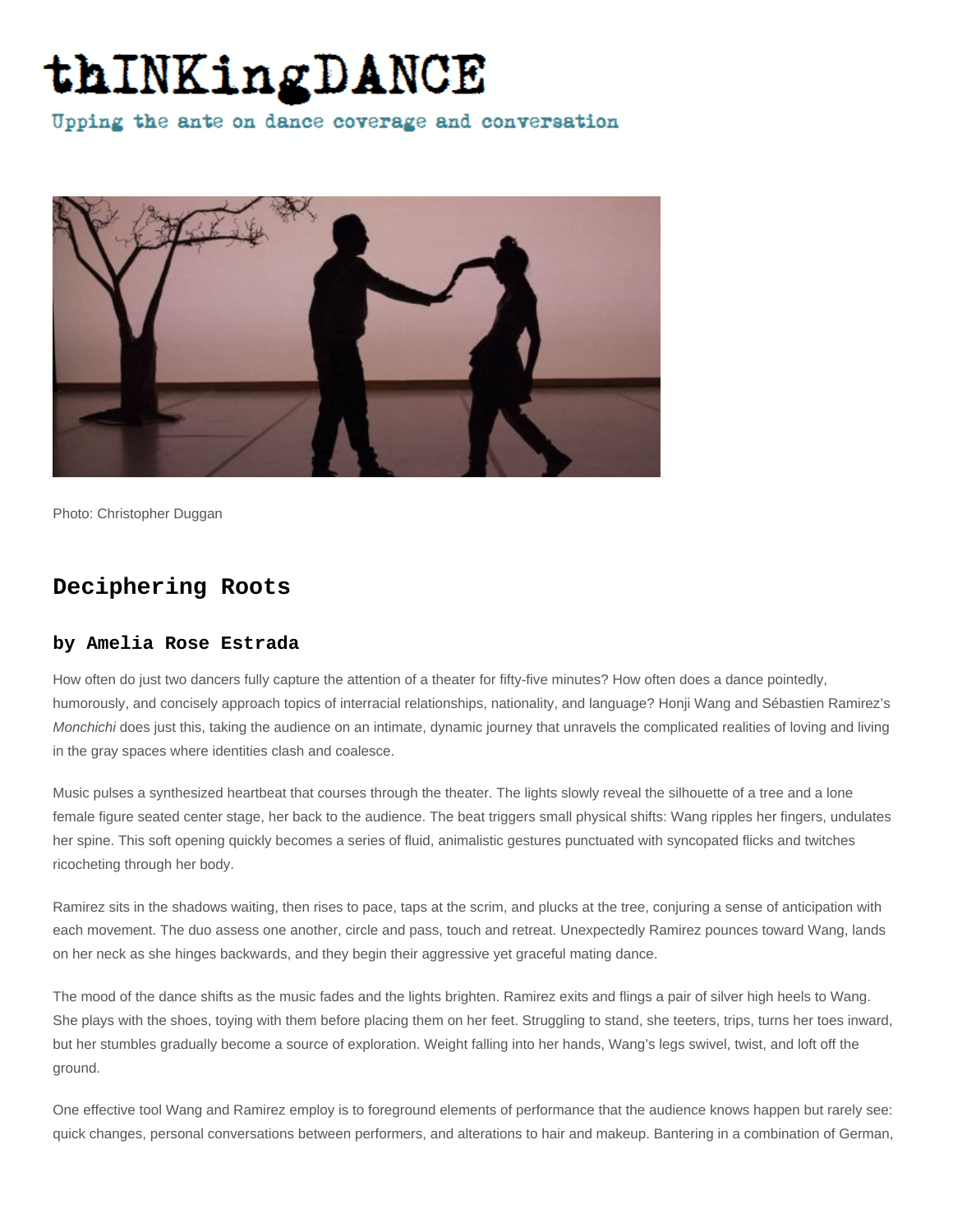## thINKingDANCE

Upping the ante on dance coverage and conversation



Photo: Christopher Duggan

## **Deciphering Roots**

## **by Amelia Rose Estrada**

How often do just two dancers fully capture the attention of a theater for fifty-five minutes? How often does a dance pointedly, humorously, and concisely approach topics of interracial relationships, nationality, and language? Honji Wang and Sébastien Ramirez's Monchichi does just this, taking the audience on an intimate, dynamic journey that unravels the complicated realities of loving and living in the gray spaces where identities clash and coalesce.

Music pulses a synthesized heartbeat that courses through the theater. The lights slowly reveal the silhouette of a tree and a lone female figure seated center stage, her back to the audience. The beat triggers small physical shifts: Wang ripples her fingers, undulates her spine. This soft opening quickly becomes a series of fluid, animalistic gestures punctuated with syncopated flicks and twitches ricocheting through her body.

Ramirez sits in the shadows waiting, then rises to pace, taps at the scrim, and plucks at the tree, conjuring a sense of anticipation with each movement. The duo assess one another, circle and pass, touch and retreat. Unexpectedly Ramirez pounces toward Wang, lands on her neck as she hinges backwards, and they begin their aggressive yet graceful mating dance.

The mood of the dance shifts as the music fades and the lights brighten. Ramirez exits and flings a pair of silver high heels to Wang. She plays with the shoes, toying with them before placing them on her feet. Struggling to stand, she teeters, trips, turns her toes inward, but her stumbles gradually become a source of exploration. Weight falling into her hands, Wang's legs swivel, twist, and loft off the ground.

One effective tool Wang and Ramirez employ is to foreground elements of performance that the audience knows happen but rarely see: quick changes, personal conversations between performers, and alterations to hair and makeup. Bantering in a combination of German,